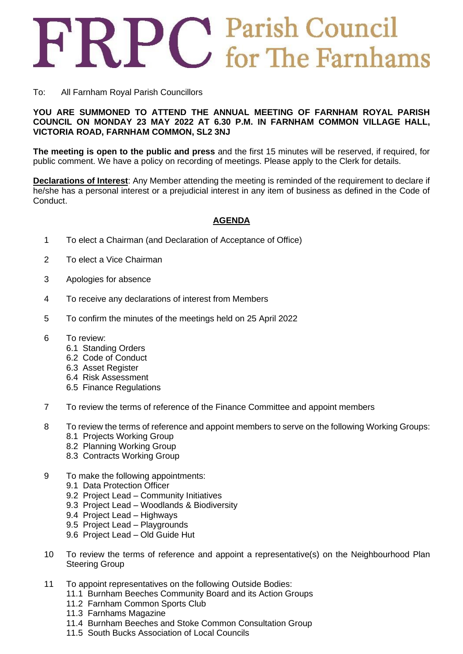## FRPC Parish Council

## To: All Farnham Royal Parish Councillors

## **YOU ARE SUMMONED TO ATTEND THE ANNUAL MEETING OF FARNHAM ROYAL PARISH COUNCIL ON MONDAY 23 MAY 2022 AT 6.30 P.M. IN FARNHAM COMMON VILLAGE HALL, VICTORIA ROAD, FARNHAM COMMON, SL2 3NJ**

**The meeting is open to the public and press** and the first 15 minutes will be reserved, if required, for public comment. We have a policy on recording of meetings. Please apply to the Clerk for details.

**Declarations of Interest**: Any Member attending the meeting is reminded of the requirement to declare if he/she has a personal interest or a prejudicial interest in any item of business as defined in the Code of Conduct.

## **AGENDA**

- 1 To elect a Chairman (and Declaration of Acceptance of Office)
- 2 To elect a Vice Chairman
- 3 Apologies for absence
- 4 To receive any declarations of interest from Members
- 5 To confirm the minutes of the meetings held on 25 April 2022
- 6 To review:
	- 6.1 Standing Orders
	- 6.2 Code of Conduct
	- 6.3 Asset Register
	- 6.4 Risk Assessment
	- 6.5 Finance Regulations
- 7 To review the terms of reference of the Finance Committee and appoint members
- 8 To review the terms of reference and appoint members to serve on the following Working Groups:
	- 8.1 Projects Working Group
	- 8.2 Planning Working Group
	- 8.3 Contracts Working Group
- 9 To make the following appointments:
	- 9.1 Data Protection Officer
	- 9.2 Project Lead Community Initiatives
	- 9.3 Project Lead Woodlands & Biodiversity
	- 9.4 Project Lead Highways
	- 9.5 Project Lead Playgrounds
	- 9.6 Project Lead Old Guide Hut
- 10 To review the terms of reference and appoint a representative(s) on the Neighbourhood Plan Steering Group
- 11 To appoint representatives on the following Outside Bodies:
	- 11.1 Burnham Beeches Community Board and its Action Groups
	- 11.2 Farnham Common Sports Club
	- 11.3 Farnhams Magazine
	- 11.4 Burnham Beeches and Stoke Common Consultation Group
	- 11.5 South Bucks Association of Local Councils